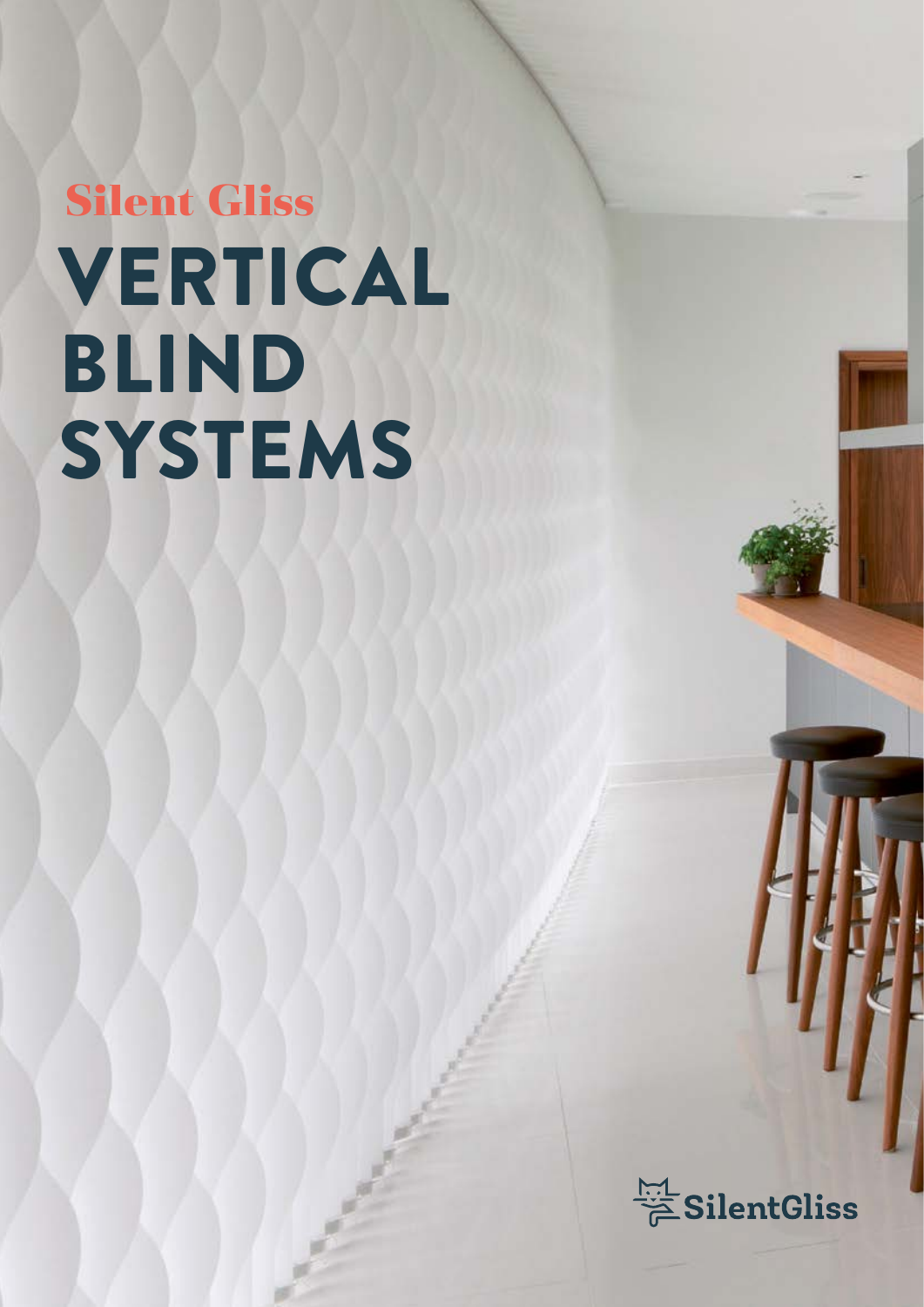# VERTICAL BLIND **SYSTEMS Silent Gliss**

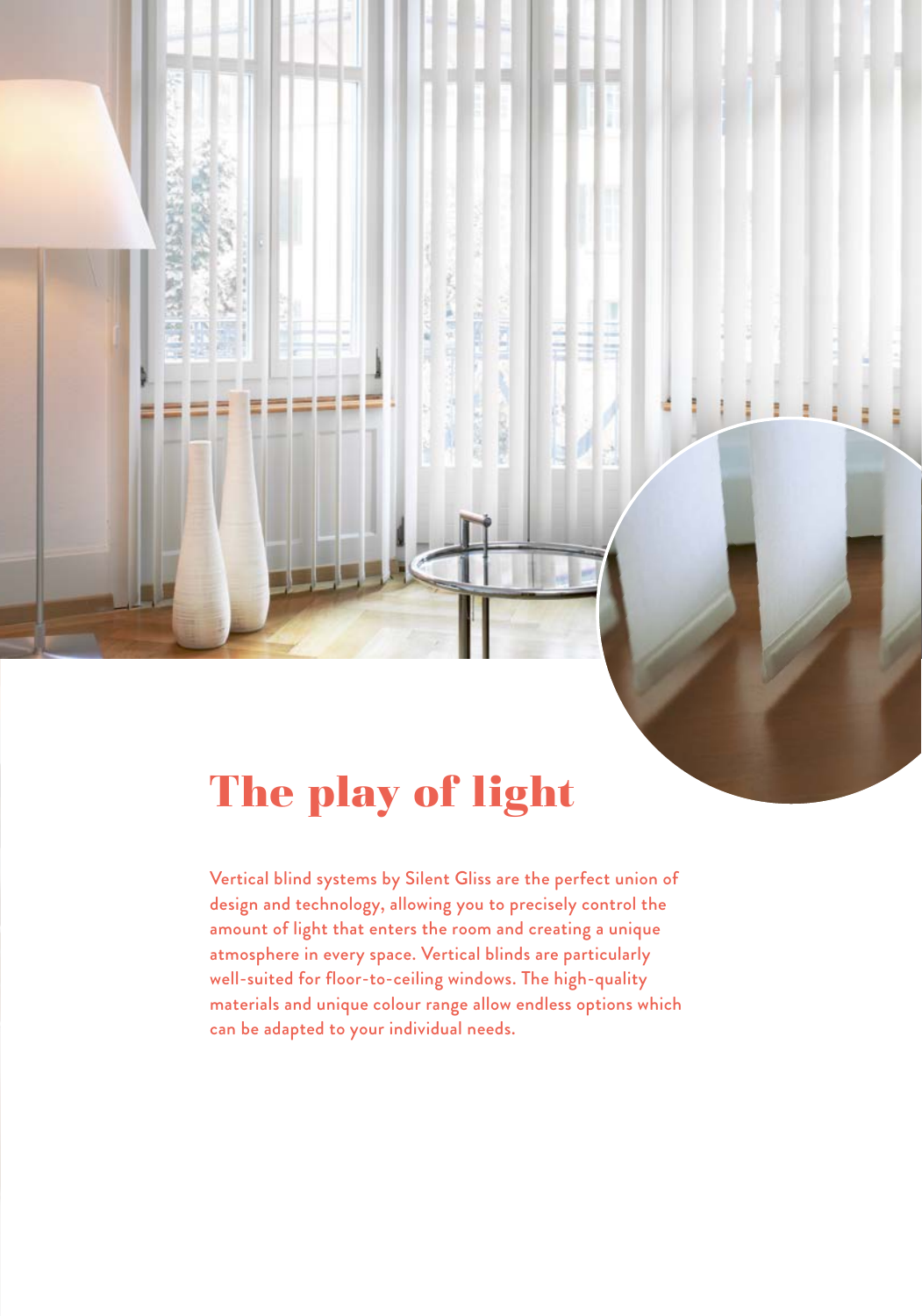

## The play of light

Vertical blind systems by Silent Gliss are the perfect union of design and technology, allowing you to precisely control the amount of light that enters the room and creating a unique atmosphere in every space. Vertical blinds are particularly well-suited for floor-to-ceiling windows. The high-quality materials and unique colour range allow endless options which can be adapted to your individual needs.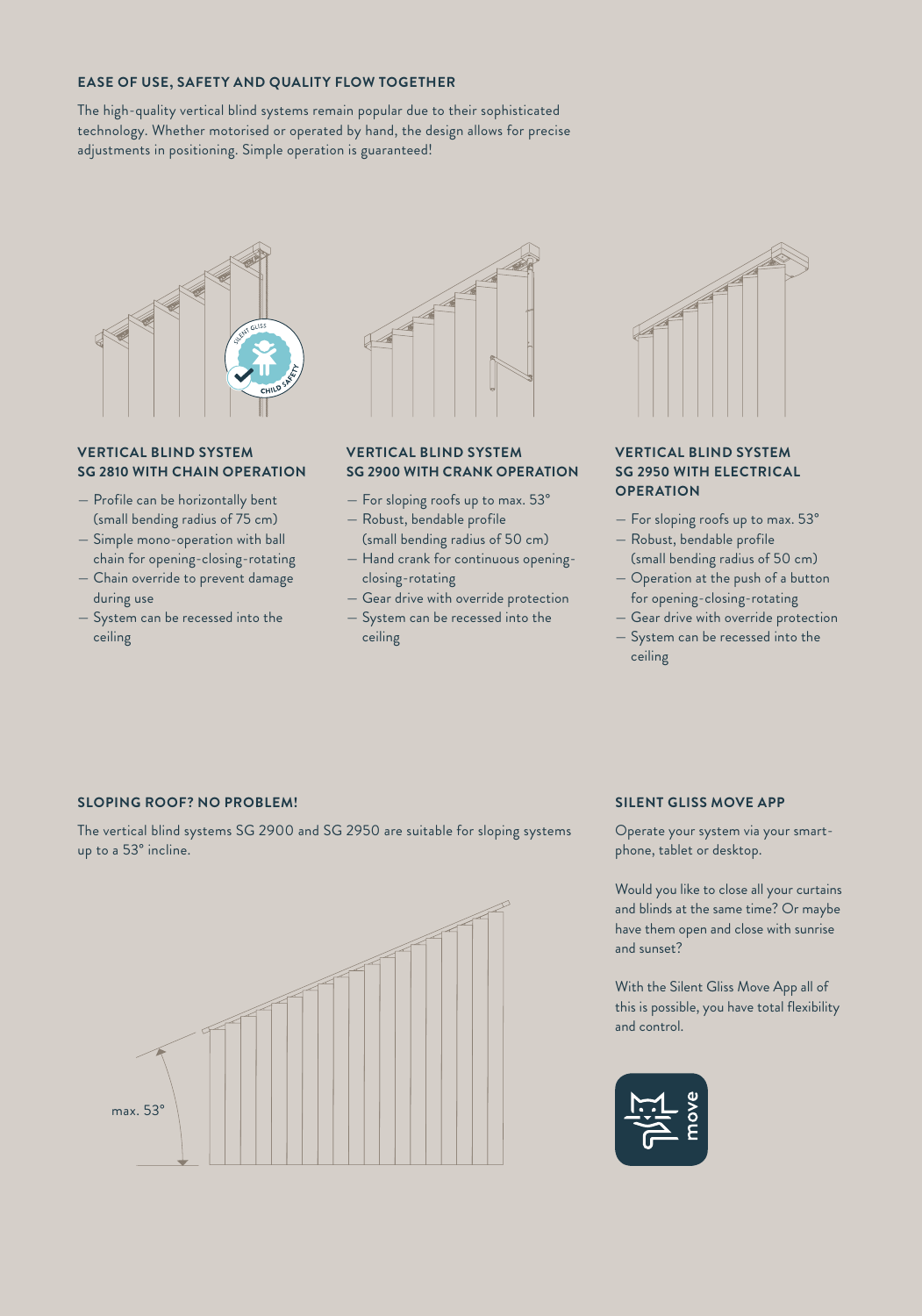#### **EASE OF USE, SAFETY AND QUALITY FLOW TOGETHER**

The high-quality vertical blind systems remain popular due to their sophisticated technology. Whether motorised or operated by hand, the design allows for precise adjustments in positioning. Simple operation is guaranteed!



#### **VERTICAL BLIND SYSTEM SG 2810 WITH CHAIN OPERATION**

- Profile can be horizontally bent (small bending radius of 75 cm)
- Simple mono-operation with ball chain for opening-closing-rotating
- Chain override to prevent damage during use
- System can be recessed into the ceiling



#### **VERTICAL BLIND SYSTEM SG 2900 WITH CRANK OPERATION**

- For sloping roofs up to max. 53°
- Robust, bendable profile (small bending radius of 50 cm)
- Hand crank for continuous openingclosing-rotating
- Gear drive with override protection — System can be recessed into the ceiling



#### **VERTICAL BLIND SYSTEM SG 2950 WITH ELECTRICAL OPERATION**

- For sloping roofs up to max. 53°
- Robust, bendable profile (small bending radius of 50 cm)
- Operation at the push of a button for opening-closing-rotating
- Gear drive with override protection
- System can be recessed into the ceiling

#### **SLOPING ROOF? NO PROBLEM!**

The vertical blind systems SG 2900 and SG 2950 are suitable for sloping systems up to a 53° incline.



#### **SILENT GLISS MOVE APP**

Operate your system via your smartphone, tablet or desktop.

Would you like to close all your curtains and blinds at the same time? Or maybe have them open and close with sunrise and sunset?

With the Silent Gliss Move App all of this is possible, you have total flexibility and control.

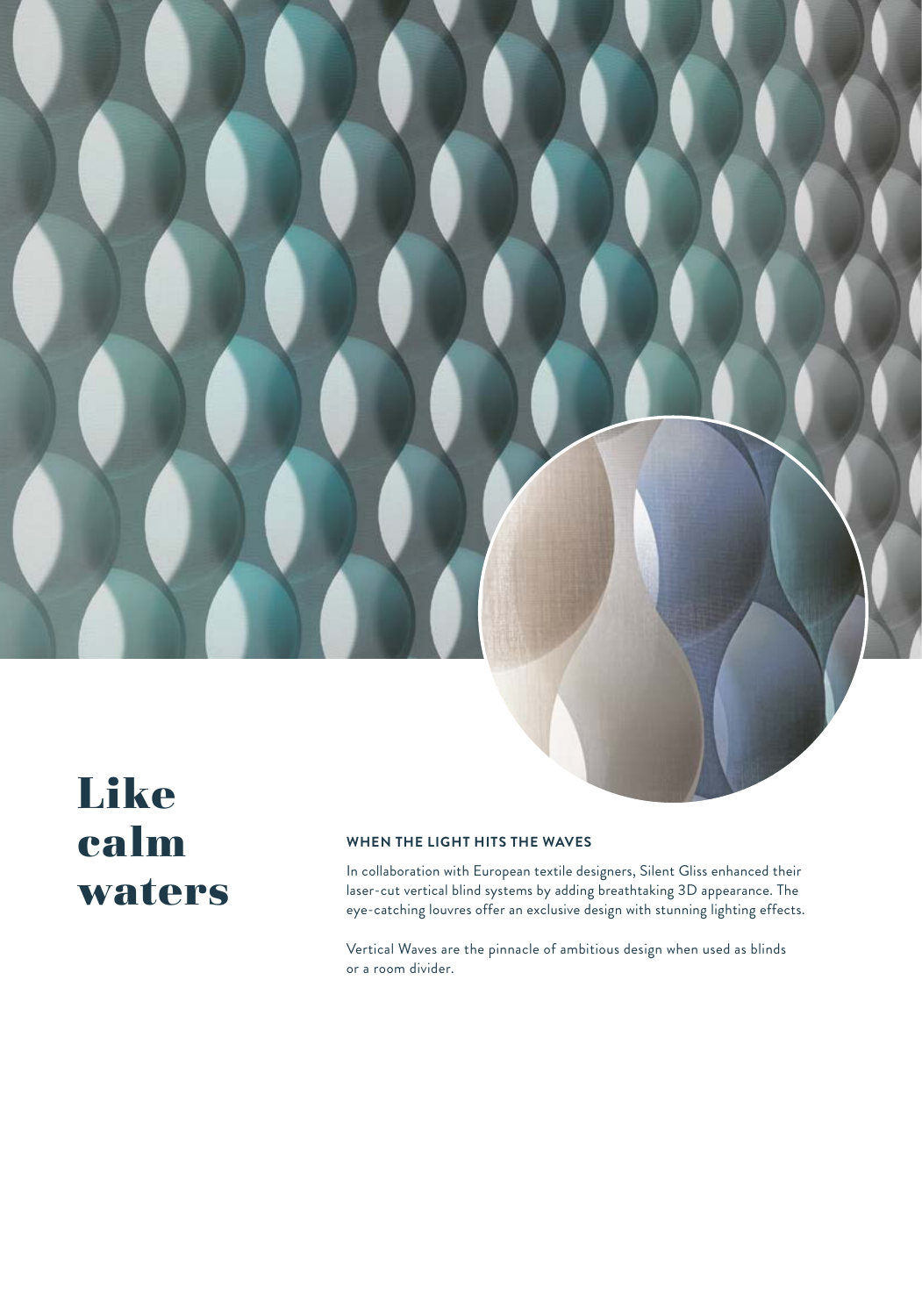

### Like calm waters

#### **WHEN THE LIGHT HITS THE WAVES**

In collaboration with European textile designers, Silent Gliss enhanced their laser-cut vertical blind systems by adding breathtaking 3D appearance. The eye-catching louvres offer an exclusive design with stunning lighting effects.

Vertical Waves are the pinnacle of ambitious design when used as blinds or a room divider.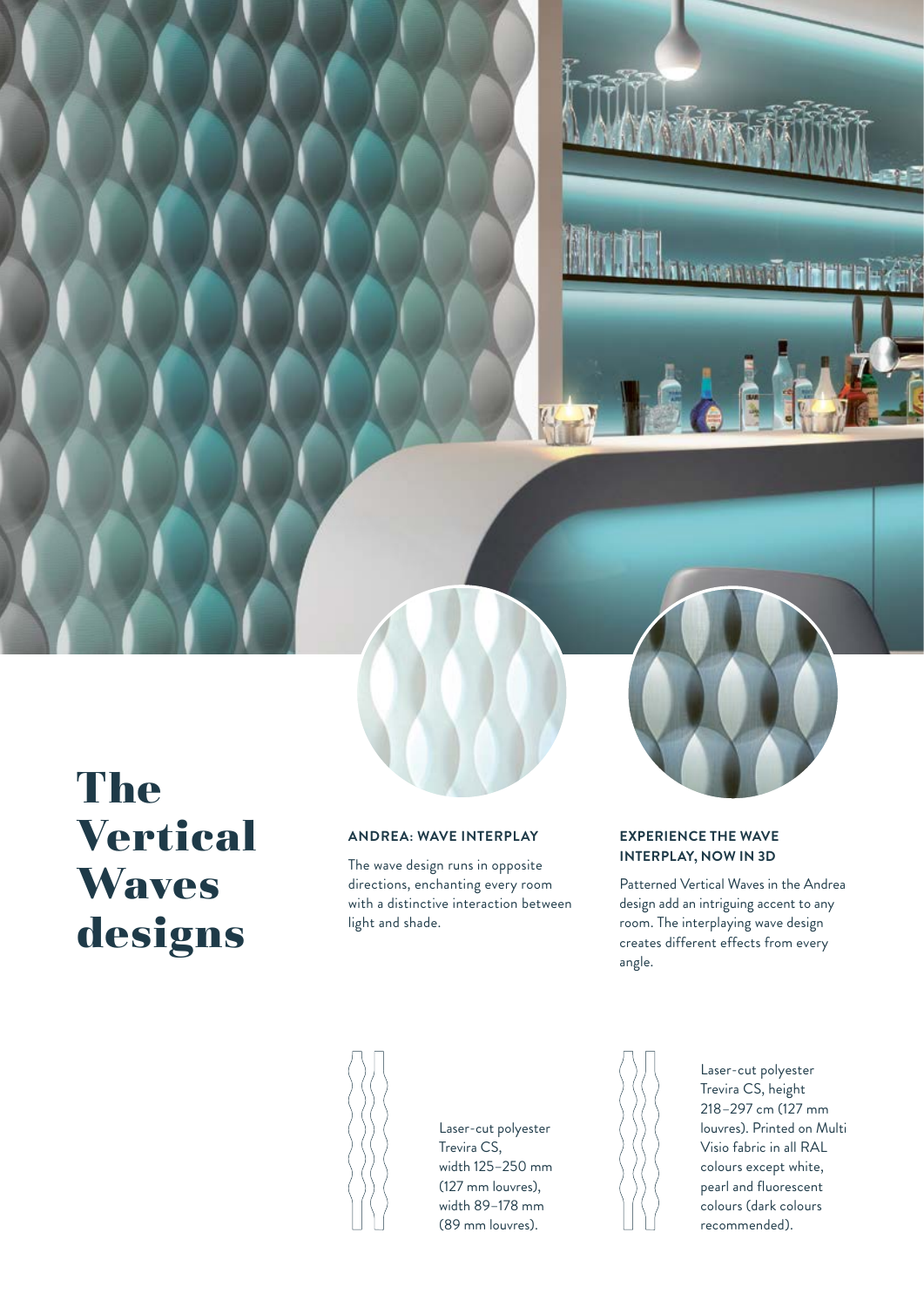**Little September** 

### The Vertical **Waves** designs

### **ANDREA: WAVE INTERPLAY**

The wave design runs in opposite directions, enchanting every room with a distinctive interaction between light and shade.

### **EXPERIENCE THE WAVE INTERPLAY, NOW IN 3D**

Patterned Vertical Waves in the Andrea design add an intriguing accent to any room. The interplaying wave design creates different effects from every angle.



Laser-cut polyester Trevira CS, width 125–250 mm (127 mm louvres), width 89–178 mm (89 mm louvres).



Laser-cut polyester Trevira CS, height 218–297 cm (127 mm louvres). Printed on Multi Visio fabric in all RAL colours except white, pearl and fluorescent colours (dark colours recommended).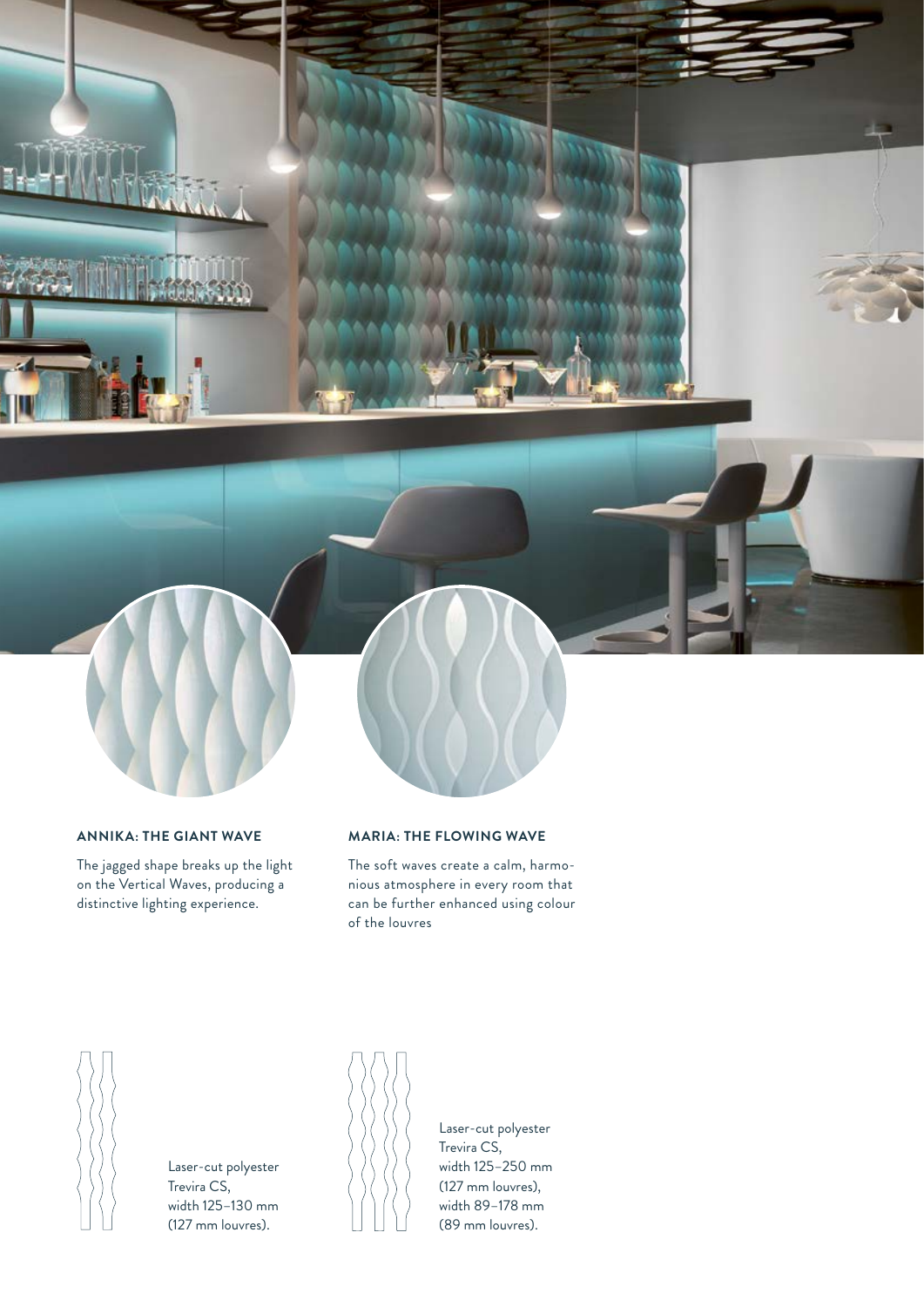

#### **ANNIKA: THE GIANT WAVE**

The jagged shape breaks up the light on the Vertical Waves, producing a distinctive lighting experience.

#### **MARIA: THE FLOWING WAVE**

The soft waves create a calm, harmonious atmosphere in every room that can be further enhanced using colour of the louvres



Laser-cut polyester Trevira CS, width 125–130 mm (127 mm louvres).



Laser-cut polyester Trevira CS, width 125–250 mm (127 mm louvres), width 89–178 mm (89 mm louvres).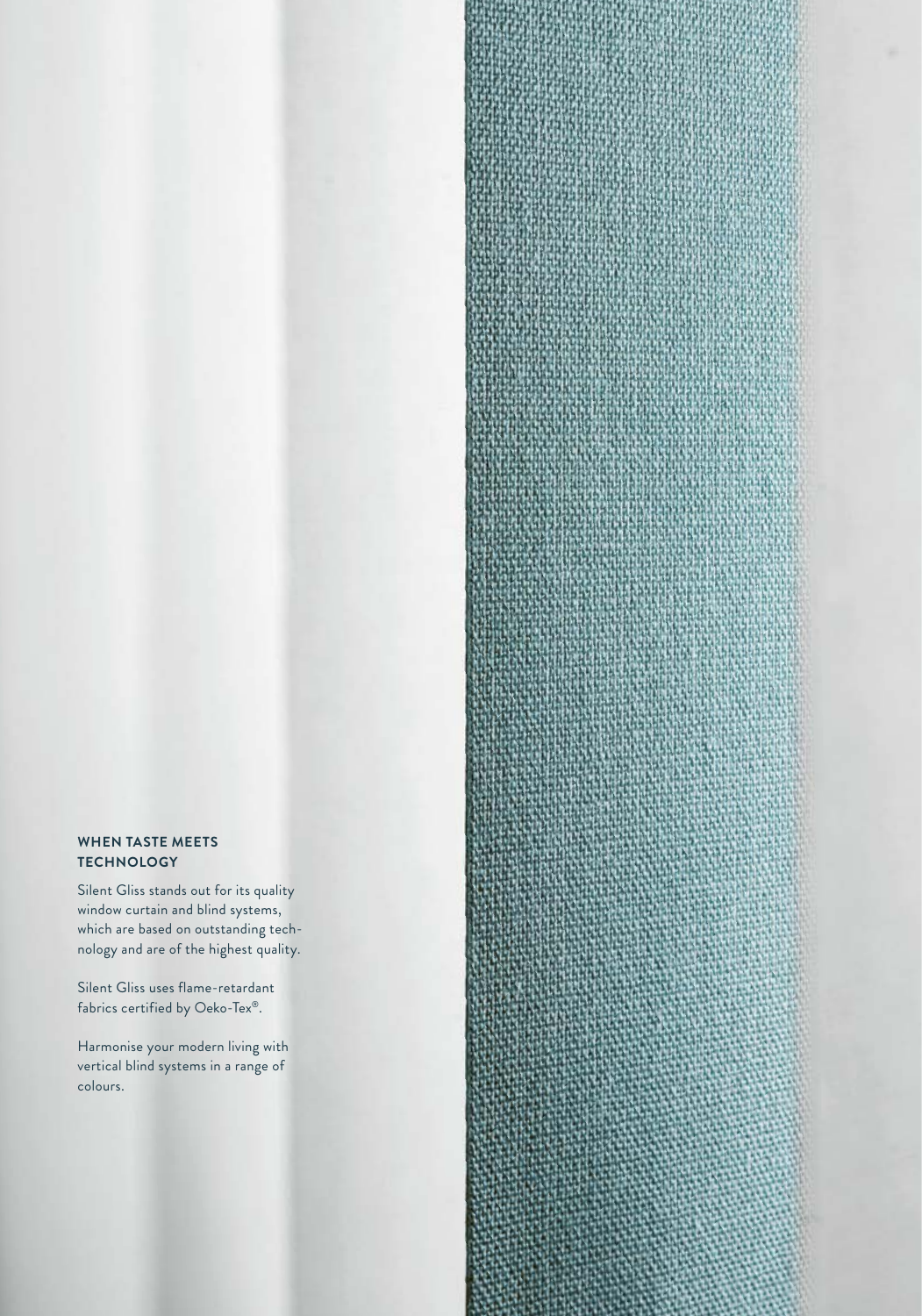#### **WHEN TASTE MEETS TECHNOLOGY**

Silent Gliss stands out for its quality window curtain and blind systems, which are based on outstanding technology and are of the highest quality.

Silent Gliss uses flame-retardant fabrics certified by Oeko-Tex®.

Harmonise your modern living with vertical blind systems in a range of colours.